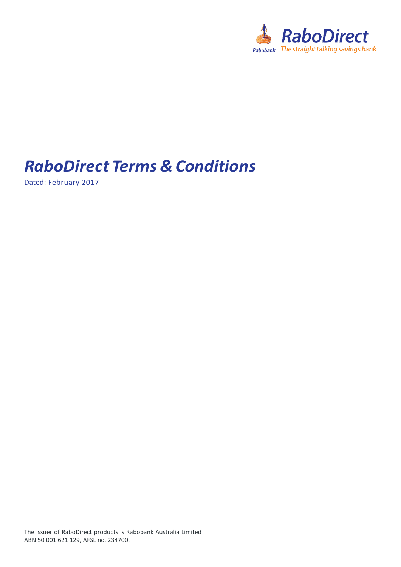

## *RaboDirect Terms & Conditions*

Dated: February 2017

The issuer of RaboDirect products is Rabobank Australia Limited ABN 50 001 621 129, AFSL no. 234700.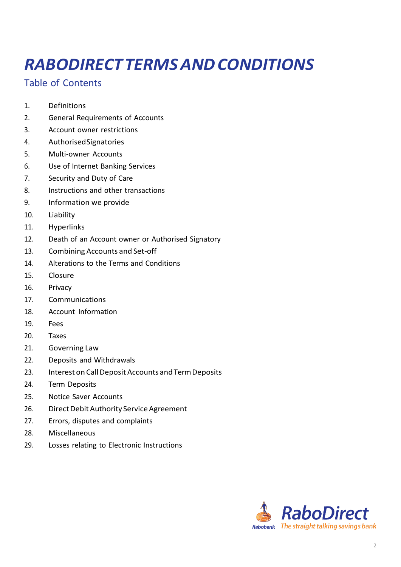# *RABODIRECT TERMSANDCONDITIONS*

## Table of Contents

- 1. [Definitions](#page-2-0)
- 2. General [Requirements](#page-2-1) of Accounts
- 3. Account owner [restrictions](#page-3-0)
- 4. [AuthorisedSignatories](#page-4-0)
- 5. [Multi-owner](#page-4-0) Accounts
- 6. Use of Internet Banking [Services](#page-4-0)
- 7. [Security](#page-5-0) and Duty of Care
- 8. Instructions and other [transactions](#page-5-0)
- 9. [Information](#page-6-0) we provide
- 10. [Liability](#page-6-0)
- 11. [Hyperlinks](#page-8-0)
- 12. Death of an Account owner or [Authorised](#page-8-0) Signatory
- 13. [Combining](#page-8-0) Accounts and Set-off
- 14. [Alterations](#page-9-0) to the Terms and Conditions
- 15. [Closure](#page-9-0)
- 16. [Privacy](#page-10-0)
- 17. [Communications](#page-10-0)
- 18. Account [Information](#page-10-0)
- 19. [Fees](#page-11-0)
- 20. [Taxes](#page-11-0)
- 21. [Governing](#page-12-0) Law
- 22. Deposits and [Withdrawals](#page-12-0)
- 23. Interest on Call Deposit Accounts and Term Deposits
- 24. Term [Deposits](#page-14-0)
- 25. Notice Saver [Accounts](#page-15-0)
- 26. Direct Debit Authority Service Agreement
- 27. Errors, disputes and [complaints](#page-17-0)
- 28. [Miscellaneous](#page-17-0)
- 29. Losses relating to Electronic [Instructions](#page-19-0)

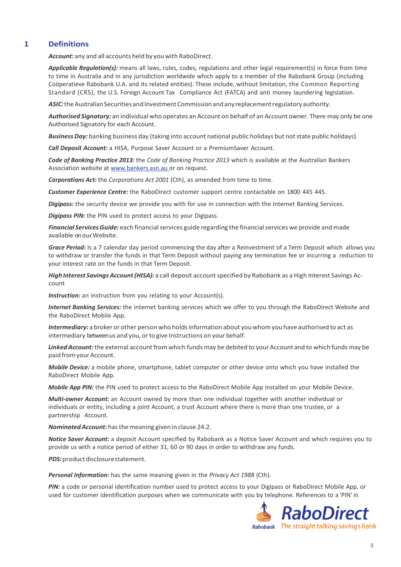## <span id="page-2-0"></span>**1 Definitions**

*Account:* any and all accounts held by you with RaboDirect.

*Applicable Regulation(s):* means all laws, rules, codes, regulations and other legal requirement(s) in force from time to time in Australia and in any jurisdiction worldwide which apply to a member of the Rabobank Group (including Coöperatieve Rabobank U.A. and its related entities). These include, without limitation, the Common Reporting Standard (CRS), the U.S. Foreign Account Tax Compliance Act (FATCA) and anti money laundering legislation.

ASIC: the Australian Securities and Investment Commission and any replacement regulatory authority.

Authorised Signatory: an individual who operates an Account on behalf of an Account owner. There may only be one Authorised Signatory for each Account.

*Business Day:* banking business day (taking into account national public holidays but not state public holidays).

*Call Deposit Account:* a HISA, Purpose Saver Account or a PremiumSaver Account.

*Code of Banking Practice 2013:* the *Code of Banking Practice 2013* which is available at the Australian Bankers Association website at [www.bankers.asn.au](http://www.bankers.asn.au/) or on request.

*Corporations Act:* the *Corporations Act 2001* (Cth), as amended from time to time.

*Customer Experience Centre:* the RaboDirect customer support centre contactable on 1800 445 445.

*Digipass:* the security device we provide you with for use in connection with the Internet Banking Services.

*Digipass PIN:* the PIN used to protect access to your Digipass.

Financial Services Guide: each financial services guide regarding the financial services we provide and made available on our Website.

*Grace Period:* Is a 7 calendar day period commencing the day after a Reinvestment of a Term Deposit which allows you to withdraw or transfer the funds in that Term Deposit without paying any termination fee or incurring a reduction to your interest rate on the funds in that Term Deposit.

*High Interest Savings Account (HISA):* a call deposit account specified by Rabobank as a High Interest Savings Account

**Instruction:** an instruction from you relating to your Account(s).

*Internet Banking Services:* the internet banking services which we offer to you through the RaboDirect Website and the RaboDirect Mobile App.

*Intermediary:* a broker or other person who holdsinformation about you whomyou have authorised to act as intermediary betweenus and you, or to give Instructions on your behalf.

Linked Account: the external account from which funds may be debited to your Account and to which funds may be paid fromyourAccount.

*Mobile Device:* a mobile phone, smartphone, tablet computer or other device onto which you have installed the RaboDirect Mobile App.

*Mobile App PIN:* the PIN used to protect access to the RaboDirect Mobile App installed on your Mobile Device.

*Multi-owner Account:* an Account owned by more than one individual together with another individual or individuals or entity, including a joint Account, a trust Account where there is more than one trustee, or a partnership Account.

*NominatedAccount:*hasthemeaning given in clause 24.2.

*Notice Saver Account:* a deposit Account specified by Rabobank as a Notice Saver Account and which requires you to provide us with a notice period of either 31, 60 or 90 days in order to withdraw any funds.

<span id="page-2-1"></span>PDS: product disclosure statement.

*Personal Information:* has the same meaning given in the *Privacy Act 1988* (Cth).

*PIN:* a code or personal identification number used to protect access to your Digipass or RaboDirect Mobile App, or used for customer identification purposes when we communicate with you by telephone. References to a 'PIN' in

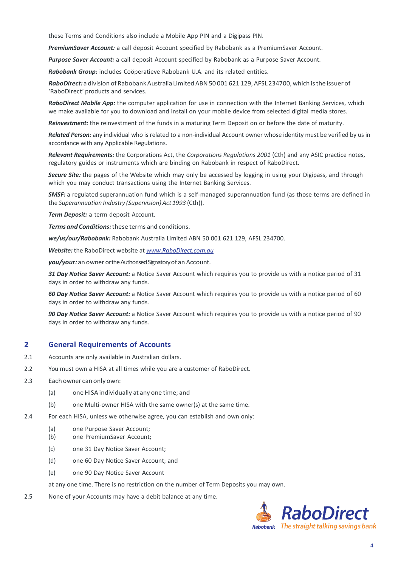these Terms and Conditions also include a Mobile App PIN and a Digipass PIN.

*PremiumSaver Account:* a call deposit Account specified by Rabobank as a PremiumSaver Account.

*Purpose Saver Account:* a call deposit Account specified by Rabobank as a Purpose Saver Account.

*Rabobank Group:* includes Coöperatieve Rabobank U.A. and its related entities.

RaboDirect: a division of Rabobank Australia Limited ABN 50 001 621 129, AFSL 234700, which is the issuer of 'RaboDirect' products and services.

*RaboDirect Mobile App:* the computer application for use in connection with the Internet Banking Services, which we make available for you to download and install on your mobile device from selected digital media stores.

*Reinvestment:* the reinvestment of the funds in a maturing Term Deposit on or before the date of maturity.

*Related Person:* any individual who is related to a non-individual Account owner whose identity must be verified by us in accordance with any Applicable Regulations.

*Relevant Requirements:* the Corporations Act, the *Corporations Regulations 2001* (Cth) and any ASIC practice notes, regulatory guides or instruments which are binding on Rabobank in respect of RaboDirect.

*Secure Site:* the pages of the Website which may only be accessed by logging in using your Digipass, and through which you may conduct transactions using the Internet Banking Services.

*SMSF:* a regulated superannuation fund which is a self-managed superannuation fund (as those terms are defined in the *Superannuation Industry (Supervision) Act 1993* (Cth)).

*Term Deposit:* a term deposit Account.

*Termsand Conditions:*these terms and conditions.

*we/us/our/Rabobank:* Rabobank Australia Limited ABN 50 001 621 129, AFSL 234700.

*Website:* the RaboDirect website at *[www.RaboDirect.com.au](http://www.rabodirect.com.au/)*

*you/your:* an owner or the Authorised Signatory of an Account.

*31 Day Notice Saver Account:* a Notice Saver Account which requires you to provide us with a notice period of 31 days in order to withdraw any funds.

*60 Day Notice Saver Account:* a Notice Saver Account which requires you to provide us with a notice period of 60 days in order to withdraw any funds.

*90 Day Notice Saver Account:* a Notice Saver Account which requires you to provide us with a notice period of 90 days in order to withdraw any funds.

#### **2 General Requirements of Accounts**

- 2.1 Accounts are only available in Australian dollars.
- 2.2 You must own a HISA at all times while you are a customer of RaboDirect.
- 2.3 Each owner can only own:
	- (a) oneHISA individually at any one time; and
	- (b) one Multi-owner HISA with the same owner(s) at the same time.
- <span id="page-3-0"></span>2.4 For each HISA, unless we otherwise agree, you can establish and own only:
	- (a) one Purpose Saver Account;
	- (b) one PremiumSaver Account;
	- (c) one 31 Day Notice Saver Account;
	- (d) one 60 Day Notice Saver Account; and
	- (e) one 90 Day Notice Saver Account

at any one time. There is no restriction on the number of Term Deposits you may own.

2.5 None of your Accounts may have a debit balance at any time.

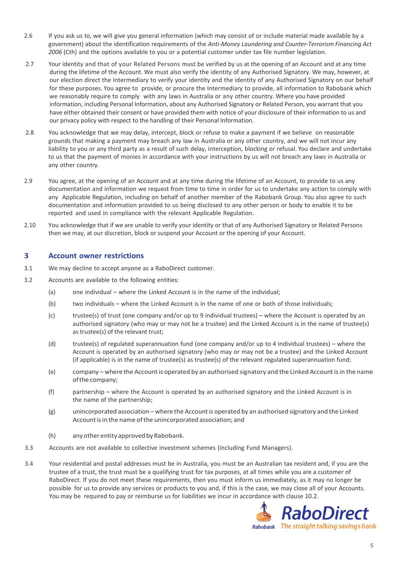- 2.6 If you ask us to, we will give you general information (which may consist of or include material made available by a government) about the identification requirements of the *Anti-Money Laundering and Counter-Terrorism Financing Act 2006* (Cth) and the options available to you or a potential customer under tax file number legislation.
- 2.7 Your identity and that of your Related Persons must be verified by us at the opening of an Account and at any time during the lifetime of the Account. We must also verify the identity of any Authorised Signatory. We may, however, at our election direct the Intermediary to verify your identity and the identity of any Authorised Signatory on our behalf for these purposes. You agree to provide, or procure the Intermediary to provide, all information to Rabobank which we reasonably require to comply with any laws in Australia or any other country. Where you have provided information, including Personal Information, about any Authorised Signatory or Related Person, you warrant that you have either obtained their consent or have provided them with notice of your disclosure of their information to us and our privacy policy with respect to the handling of their Personal Information.
- 2.8 You acknowledge that we may delay, intercept, block or refuse to make a payment if we believe on reasonable grounds that making a payment may breach any law in Australia or any other country, and we will not incur any liability to you or any third party as a result of such delay, interception, blocking or refusal. You declare and undertake to us that the payment of monies in accordance with your instructions by us will not breach any laws in Australia or any other country.
- 2.9 You agree, at the opening of an Account and at any time during the lifetime of an Account, to provide to us any documentation and information we request from time to time in order for us to undertake any action to comply with any Applicable Regulation, including on behalf of another member of the Rabobank Group. You also agree to such documentation and information provided to us being disclosed to any other person or body to enable it to be reported and used in compliance with the relevant Applicable Regulation.
- 2.10 You acknowledge that if we are unable to verify your identity or that of any Authorised Signatory or Related Persons then we may, at our discretion, block or suspend your Account or the opening of your Account.

#### **3 Account owner restrictions**

- 3.1 We may decline to accept anyone as a RaboDirect customer.
- 3.2 Accounts are available to the following entities:
	- (a) one individual where the Linked Account is in the name of the individual;
	- (b) two individuals where the Linked Account is in the name of one or both of those individuals;
	- (c) trustee(s) of trust (one company and/or up to 9 individual trustees) where the Account is operated by an authorised signatory (who may or may not be a trustee) and the Linked Account is in the name of trustee(s) as trustee(s) of the relevant trust;
	- (d) trustee(s) of regulated superannuation fund (one company and/or up to 4 individual trustees) where the Account is operated by an authorised signatory (who may or may not be a trustee) and the Linked Account (if applicable) is in the name of trustee(s) as trustee(s) of the relevant regulated superannuation fund;
	- (e) company where the Accountis operated by an authorised signatory and the Linked Accountisin the name ofthecompany;
	- (f) partnership where the Account is operated by an authorised signatory and the Linked Account is in the name of the partnership;
	- (g) unincorporated association where the Accountis operated by an authorised signatory and the Linked Account is in the name of the unincorporated association; and
	- (h) anyother entity approved by Rabobank.
- <span id="page-4-0"></span>3.3 Accounts are not available to collective investment schemes (including Fund Managers).
- 3.4 Your residential and postal addresses must be in Australia, you must be an Australian tax resident and, if you are the trustee of a trust, the trust must be a qualifying trust for tax purposes, at all times while you are a customer of RaboDirect. If you do not meet these requirements, then you must inform us immediately, as it may no longer be possible for us to provide any services or products to you and, if this is the case, we may close all of your Accounts. You may be required to pay or reimburse us for liabilities we incur in accordance with clause 10.2.

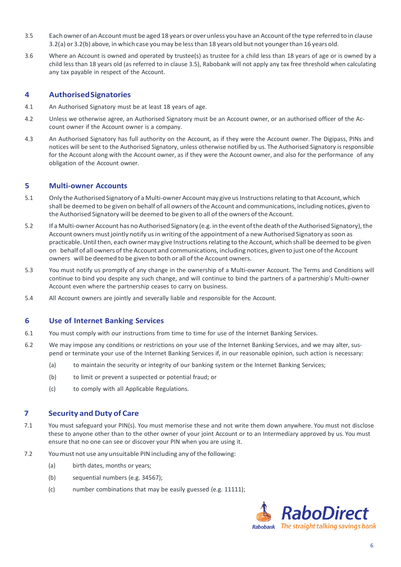- 3.5 Each owner of an Account must be aged 18 years or over unless you have an Account of the type referred to in clause 3.2(a) or 3.2(b) above, in which case youmay be lessthan 18 years old but not youngerthan 16 years old.
- 3.6 Where an Account is owned and operated by trustee(s) as trustee for a child less than 18 years of age or is owned by a child less than 18 years old (as referred to in clause 3.5), Rabobank will not apply any tax free threshold when calculating any tax payable in respect of the Account.

## **4 AuthorisedSignatories**

- 4.1 An Authorised Signatory must be at least 18 years of age.
- 4.2 Unless we otherwise agree, an Authorised Signatory must be an Account owner, or an authorised officer of the Account owner if the Account owner is a company.
- 4.3 An Authorised Signatory has full authority on the Account, as if they were the Account owner. The Digipass, PINs and notices will be sent to the Authorised Signatory, unless otherwise notified by us. The Authorised Signatory is responsible for the Account along with the Account owner, as if they were the Account owner, and also for the performance of any obligation of the Account owner.

## **5 Multi-owner Accounts**

- 5.1 Only the Authorised Signatory of a Multi-owner Account may give us Instructions relating to that Account, which shall be deemed to be given on behalf of all owners ofthe Account and communications, including notices, given to the Authorised Signatory will be deemed to be given to all of the owners of the Account.
- 5.2 If a Multi-owner Account has no Authorised Signatory (e.g. in the event ofthe deathoftheAuthorised Signatory),the Account owners must jointly notify us in writing of the appointment of a new Authorised Signatory as soon as practicable. Until then, each owner may give Instructions relating to the Account, which shall be deemed to be given on behalf of all owners ofthe Account and communications, including notices, given to just one ofthe Account owners will be deemed to be given to both or all of the Account owners.
- 5.3 You must notify us promptly of any change in the ownership of a Multi-owner Account. The Terms and Conditions will continue to bind you despite any such change, and will continue to bind the partners of a partnership's Multi-owner Account even where the partnership ceases to carry on business.
- 5.4 All Account owners are jointly and severally liable and responsible for the Account.

## **6 Use of Internet Banking Services**

- 6.1 You must comply with our instructions from time to time for use of the Internet Banking Services.
- 6.2 We may impose any conditions or restrictions on your use of the Internet Banking Services, and we may alter, suspend or terminate your use of the Internet Banking Services if, in our reasonable opinion, such action is necessary:
	- (a) to maintain the security or integrity of our banking system or the Internet Banking Services;
	- (b) to limit or prevent a suspected or potential fraud; or
	- (c) to comply with all Applicable Regulations.

## <span id="page-5-0"></span>**7 Security andDuty of Care**

- 7.1 You must safeguard your PIN(s). You must memorise these and not write them down anywhere. You must not disclose these to anyone other than to the other owner of your joint Account or to an Intermediary approved by us. You must ensure that no one can see or discover your PIN when you are using it.
- 7.2 You must not use any unsuitable PIN including any of the following:
	- (a) birth dates, months or years;
	- (b) sequential numbers (e.g. 34567);
	- (c) number combinations that may be easily guessed (e.g. 11111);

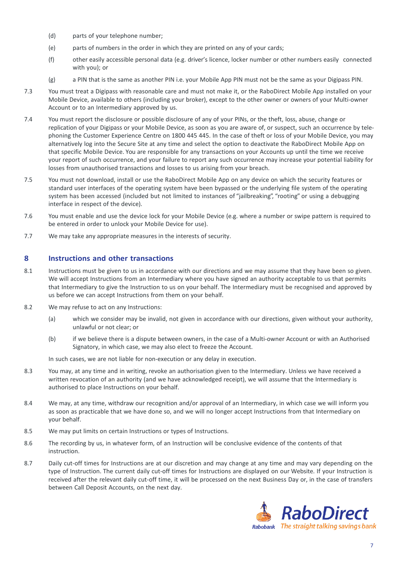- (d) parts of your telephone number;
- (e) parts of numbers in the order in which they are printed on any of your cards;
- (f) other easily accessible personal data (e.g. driver's licence, locker number or other numbers easily connected with you); or
- (g) a PIN that is the same as another PIN i.e. your Mobile App PIN must not be the same as your Digipass PIN.
- 7.3 You must treat a Digipass with reasonable care and must not make it, or the RaboDirect Mobile App installed on your Mobile Device, available to others (including your broker), except to the other owner or owners of your Multi-owner Account or to an Intermediary approved by us.
- 7.4 You must report the disclosure or possible disclosure of any of your PINs, or the theft, loss, abuse, change or replication of your Digipass or your Mobile Device, as soon as you are aware of, or suspect, such an occurrence by telephoning the Customer Experience Centre on 1800 445 445. In the case of theft or loss of your Mobile Device, you may alternatively log into the Secure Site at any time and select the option to deactivate the RaboDirect Mobile App on that specific Mobile Device. You are responsible for any transactions on your Accounts up until the time we receive your report of such occurrence, and your failure to report any such occurrence may increase your potential liability for losses from unauthorised transactions and losses to us arising from your breach.
- 7.5 You must not download, install or use the RaboDirect Mobile App on any device on which the security features or standard user interfaces of the operating system have been bypassed or the underlying file system of the operating system has been accessed (included but not limited to instances of "jailbreaking", "rooting" or using a debugging interface in respect of the device).
- 7.6 You must enable and use the device lock for your Mobile Device (e.g. where a number or swipe pattern is required to be entered in order to unlock your Mobile Device for use).
- 7.7 We may take any appropriate measures in the interests of security.

## **8 Instructions and other transactions**

- 8.1 Instructions must be given to us in accordance with our directions and we may assume that they have been so given. We will accept Instructions from an Intermediary where you have signed an authority acceptable to us that permits that Intermediary to give the Instruction to us on your behalf. The Intermediary must be recognised and approved by us before we can accept Instructions from them on your behalf.
- 8.2 We may refuse to act on any Instructions:
	- (a) which we consider may be invalid, not given in accordance with our directions, given without your authority, unlawful or not clear; or
	- (b) if we believe there is a dispute between owners, in the case of a Multi-owner Account or with an Authorised Signatory, in which case, we may also elect to freeze the Account.

In such cases, we are not liable for non-execution or any delay in execution.

- <span id="page-6-0"></span>8.3 You may, at any time and in writing, revoke an authorisation given to the Intermediary. Unless we have received a written revocation of an authority (and we have acknowledged receipt), we will assume that the Intermediary is authorised to place Instructions on your behalf.
- 8.4 We may, at any time, withdraw our recognition and/or approval of an Intermediary, in which case we will inform you as soon as practicable that we have done so, and we will no longer accept Instructions from that Intermediary on your behalf.
- 8.5 We may put limits on certain Instructions or types of Instructions.
- 8.6 The recording by us, in whatever form, of an Instruction will be conclusive evidence of the contents of that instruction.
- 8.7 Daily cut-off times for Instructions are at our discretion and may change at any time and may vary depending on the type of Instruction. The current daily cut-off times for Instructions are displayed on our Website. If your Instruction is received after the relevant daily cut-off time, it will be processed on the next Business Day or, in the case of transfers between Call Deposit Accounts, on the next day.

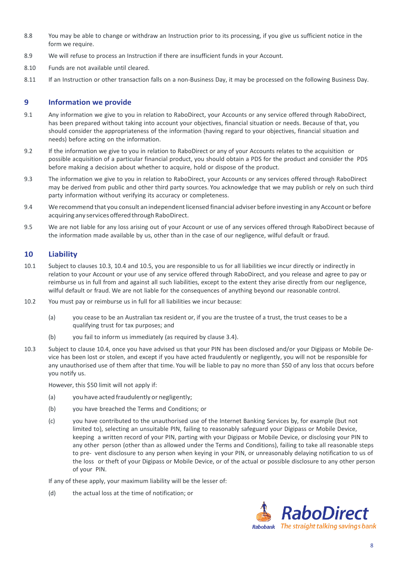- 8.8 You may be able to change or withdraw an Instruction prior to its processing, if you give us sufficient notice in the form we require.
- 8.9 We will refuse to process an Instruction if there are insufficient funds in your Account.
- 8.10 Funds are not available until cleared.
- 8.11 If an Instruction or other transaction falls on a non-Business Day, it may be processed on the following Business Day.

### **9 Information we provide**

- 9.1 Any information we give to you in relation to RaboDirect, your Accounts or any service offered through RaboDirect, has been prepared without taking into account your objectives, financial situation or needs. Because of that, you should consider the appropriateness of the information (having regard to your objectives, financial situation and needs) before acting on the information.
- 9.2 If the information we give to you in relation to RaboDirect or any of your Accounts relates to the acquisition or possible acquisition of a particular financial product, you should obtain a PDS for the product and consider the PDS before making a decision about whether to acquire, hold or dispose of the product.
- 9.3 The information we give to you in relation to RaboDirect, your Accounts or any services offered through RaboDirect may be derived from public and other third party sources. You acknowledge that we may publish or rely on such third party information without verifying its accuracy or completeness.
- 9.4 We recommend that you consult an independentlicensed financial adviser before investing in any Account or before acquiring any services offered through RaboDirect.
- 9.5 We are not liable for any loss arising out of your Account or use of any services offered through RaboDirect because of the information made available by us, other than in the case of our negligence, wilful default or fraud.

## **10 Liability**

- 10.1 Subject to clauses 10.3, 10.4 and 10.5, you are responsible to us for all liabilities we incur directly or indirectly in relation to your Account or your use of any service offered through RaboDirect, and you release and agree to pay or reimburse us in full from and against all such liabilities, except to the extent they arise directly from our negligence, wilful default or fraud. We are not liable for the consequences of anything beyond our reasonable control.
- 10.2 You must pay or reimburse us in full for all liabilities we incur because:
	- (a) you cease to be an Australian tax resident or, if you are the trustee of a trust, the trust ceases to be a qualifying trust for tax purposes; and
	- (b) you fail to inform us immediately (as required by clause 3.4).
- 10.3 Subject to clause 10.4, once you have advised us that your PIN has been disclosed and/or your Digipass or Mobile Device has been lost or stolen, and except if you have acted fraudulently or negligently, you will not be responsible for any unauthorised use of them after that time. You will be liable to pay no more than \$50 of any loss that occurs before you notify us.

However, this \$50 limit will not apply if:

- (a) you have acted fraudulently or negligently;
- (b) you have breached the Terms and Conditions; or
- (c) you have contributed to the unauthorised use of the Internet Banking Services by, for example (but not limited to), selecting an unsuitable PIN, failing to reasonably safeguard your Digipass or Mobile Device, keeping a written record of your PIN, parting with your Digipass or Mobile Device, or disclosing your PIN to any other person (other than as allowed under the Terms and Conditions), failing to take all reasonable steps to pre- vent disclosure to any person when keying in your PIN, or unreasonably delaying notification to us of the loss or theft of your Digipass or Mobile Device, or of the actual or possible disclosure to any other person of your PIN.

If any of these apply, your maximum liability will be the lesser of:

(d) the actual loss at the time of notification; or

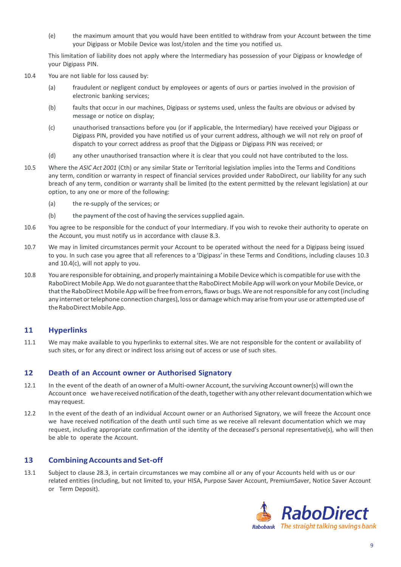(e) the maximum amount that you would have been entitled to withdraw from your Account between the time your Digipass or Mobile Device was lost/stolen and the time you notified us.

This limitation of liability does not apply where the Intermediary has possession of your Digipass or knowledge of your Digipass PIN.

- 10.4 You are not liable for loss caused by:
	- (a) fraudulent or negligent conduct by employees or agents of ours or parties involved in the provision of electronic banking services;
	- (b) faults that occur in our machines, Digipass or systems used, unless the faults are obvious or advised by message or notice on display;
	- (c) unauthorised transactions before you (or if applicable, the Intermediary) have received your Digipass or Digipass PIN, provided you have notified us of your current address, although we will not rely on proof of dispatch to your correct address as proof that the Digipass or Digipass PIN was received; or
	- (d) any other unauthorised transaction where it is clear that you could not have contributed to the loss.
- 10.5 Where the *ASIC Act 2001* (Cth) or any similar State or Territorial legislation implies into the Terms and Conditions any term, condition or warranty in respect of financial services provided under RaboDirect, our liability for any such breach of any term, condition or warranty shall be limited (to the extent permitted by the relevant legislation) at our option, to any one or more of the following:
	- (a) the re-supply of the services; or
	- $(b)$  the payment of the cost of having the services supplied again.
- 10.6 You agree to be responsible for the conduct of your Intermediary. If you wish to revoke their authority to operate on the Account, you must notify us in accordance with clause 8.3.
- 10.7 We may in limited circumstances permit your Account to be operated without the need for a Digipass being issued to you. In such case you agree that all references to a 'Digipass' in these Terms and Conditions, including clauses 10.3 and 10.4(c), will not apply to you.
- <span id="page-8-0"></span>10.8 You are responsible for obtaining, and properlymaintaining a MobileDevicewhich is compatible for use with the RaboDirect Mobile App. We do not guarantee that the RaboDirect Mobile App will work on your Mobile Device, or that the RaboDirect Mobile App will be free from errors, flaws or bugs. We are not responsible for any cost (including any internet or telephone connection charges), loss or damage which may arise from your use or attempted use of the RaboDirect Mobile App.

#### **11 Hyperlinks**

11.1 We may make available to you hyperlinks to external sites. We are not responsible for the content or availability of such sites, or for any direct or indirect loss arising out of access or use of such sites.

#### **12 Death of an Account owner or Authorised Signatory**

- 12.1 In the event of the death of an owner of a Multi-owner Account, the surviving Account owner(s) will own the Account once we have received notification of the death, together with any other relevant documentation which we may request.
- 12.2 In the event of the death of an individual Account owner or an Authorised Signatory, we will freeze the Account once we have received notification of the death until such time as we receive all relevant documentation which we may request, including appropriate confirmation of the identity of the deceased's personal representative(s), who will then be able to operate the Account.

#### **13 CombiningAccountsand Set-off**

13.1 Subject to clause 28.3, in certain circumstances we may combine all or any of your Accounts held with us or our related entities (including, but not limited to, your HISA, Purpose Saver Account, PremiumSaver, Notice Saver Account or Term Deposit).

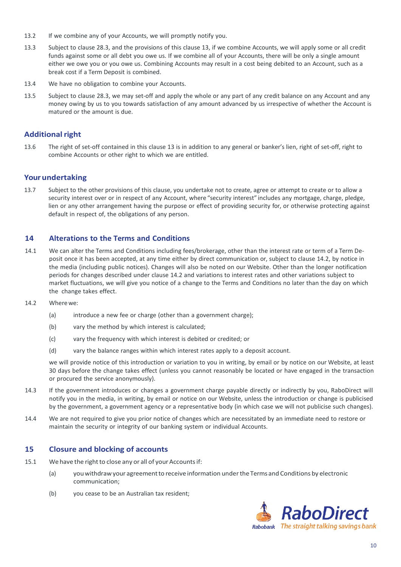- 13.2 If we combine any of your Accounts, we will promptly notify you.
- 13.3 Subject to clause 28.3, and the provisions of this clause 13, if we combine Accounts, we will apply some or all credit funds against some or all debt you owe us. If we combine all of your Accounts, there will be only a single amount either we owe you or you owe us. Combining Accounts may result in a cost being debited to an Account, such as a break cost if a Term Deposit is combined.
- 13.4 We have no obligation to combine your Accounts.
- 13.5 Subject to clause 28.3, we may set-off and apply the whole or any part of any credit balance on any Account and any money owing by us to you towards satisfaction of any amount advanced by us irrespective of whether the Account is matured or the amount is due.

## **Additional right**

13.6 The right of set-off contained in this clause 13 is in addition to any general or banker's lien, right of set-off, right to combine Accounts or other right to which we are entitled.

#### **Your undertaking**

13.7 Subject to the other provisions of this clause, you undertake not to create, agree or attempt to create or to allow a security interest over or in respect of any Account, where "security interest" includes any mortgage, charge, pledge, lien or any other arrangement having the purpose or effect of providing security for, or otherwise protecting against default in respect of, the obligations of any person.

#### <span id="page-9-0"></span>**14 Alterations to the Terms and Conditions**

- 14.1 We can alter the Terms and Conditions including fees/brokerage, other than the interest rate or term of a Term Deposit once it has been accepted, at any time either by direct communication or, subject to clause 14.2, by notice in the media (including public notices). Changes will also be noted on our Website. Other than the longer notification periods for changes described under clause 14.2 and variations to interest rates and other variations subject to market fluctuations, we will give you notice of a change to the Terms and Conditions no later than the day on which the change takes effect.
- 14.2 Wherewe:
	- (a) introduce a new fee or charge (other than a government charge);
	- (b) vary the method by which interest is calculated;
	- (c) vary the frequency with which interest is debited or credited; or
	- (d) vary the balance ranges within which interest rates apply to a deposit account.

we will provide notice of this introduction or variation to you in writing, by email or by notice on our Website, at least 30 days before the change takes effect (unless you cannot reasonably be located or have engaged in the transaction or procured the service anonymously).

- 14.3 If the government introduces or changes a government charge payable directly or indirectly by you, RaboDirect will notify you in the media, in writing, by email or notice on our Website, unless the introduction or change is publicised by the government, a government agency or a representative body (in which case we will not publicise such changes).
- 14.4 We are not required to give you prior notice of changes which are necessitated by an immediate need to restore or maintain the security or integrity of our banking system or individual Accounts.

#### **15 Closure and blocking of accounts**

- 15.1 We have the right to close any or all of your Accounts if:
	- (a) youwithdrawyour agreementto receive information undertheTerms and Conditions by electronic communication;
	- (b) you cease to be an Australian tax resident;

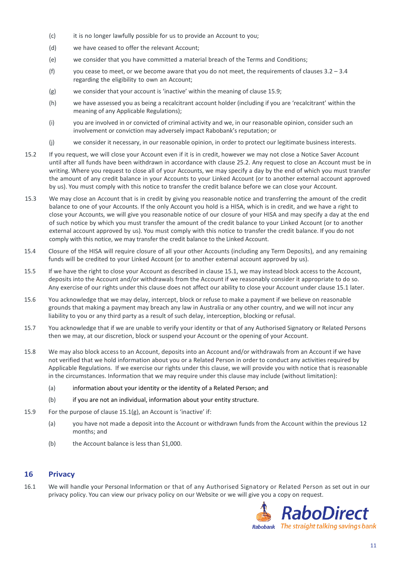- (c) it is no longer lawfully possible for us to provide an Account to you;
- (d) we have ceased to offer the relevant Account;
- (e) we consider that you have committed a material breach of the Terms and Conditions;
- (f) you cease to meet, or we become aware that you do not meet, the requirements of clauses  $3.2 3.4$ regarding the eligibility to own an Account;
- (g) we consider that your account is 'inactive' within the meaning of clause 15.9;
- (h) we have assessed you as being a recalcitrant account holder (including if you are 'recalcitrant' within the meaning of any Applicable Regulations);
- (i) you are involved in or convicted of criminal activity and we, in our reasonable opinion, consider such an involvement or conviction may adversely impact Rabobank's reputation; or
- (j) we consider it necessary, in our reasonable opinion, in order to protect our legitimate business interests.
- 15.2 If you request, we will close your Account even if it is in credit, however we may not close a Notice Saver Account until after all funds have been withdrawn in accordance with clause 25.2. Any request to close an Account must be in writing. Where you request to close all of your Accounts, we may specify a day by the end of which you must transfer the amount of any credit balance in your Accounts to your Linked Account (or to another external account approved by us). You must comply with this notice to transfer the credit balance before we can close your Account.
- 15.3 We may close an Account that is in credit by giving you reasonable notice and transferring the amount of the credit balance to one of your Accounts. If the only Account you hold is a HISA, which is in credit, and we have a right to close your Accounts, we will give you reasonable notice of our closure of your HISA and may specify a day at the end of such notice by which you must transfer the amount of the credit balance to your Linked Account (or to another external account approved by us). You must comply with this notice to transfer the credit balance. If you do not comply with this notice, we may transfer the credit balance to the Linked Account.
- <span id="page-10-0"></span>15.4 Closure of the HISA will require closure of all your other Accounts (including any Term Deposits), and any remaining funds will be credited to your Linked Account (or to another external account approved by us).
- 15.5 If we have the right to close your Account as described in clause 15.1, we may instead block access to the Account, deposits into the Account and/or withdrawals from the Account if we reasonably consider it appropriate to do so. Any exercise of our rights under this clause does not affect our ability to close your Account under clause 15.1 later.
- 15.6 You acknowledge that we may delay, intercept, block or refuse to make a payment if we believe on reasonable grounds that making a payment may breach any law in Australia or any other country, and we will not incur any liability to you or any third party as a result of such delay, interception, blocking or refusal.
- 15.7 You acknowledge that if we are unable to verify your identity or that of any Authorised Signatory or Related Persons then we may, at our discretion, block or suspend your Account or the opening of your Account.
- 15.8 We may also block access to an Account, deposits into an Account and/or withdrawals from an Account if we have not verified that we hold information about you or a Related Person in order to conduct any activities required by Applicable Regulations. If we exercise our rights under this clause, we will provide you with notice that is reasonable in the circumstances. Information that we may require under this clause may include (without limitation):
	- (a) information about your identity or the identity of a Related Person; and
	- (b) if you are not an individual, information about your entity structure.
- 15.9 For the purpose of clause 15.1(g), an Account is 'inactive' if:
	- (a) you have not made a deposit into the Account or withdrawn funds from the Account within the previous 12 months; and
	- (b) the Account balance is less than \$1,000.

## **16 Privacy**

16.1 We will handle your Personal Information or that of any Authorised Signatory or Related Person as set out in our privacy policy. You can view our privacy policy on our Website or we will give you a copy on request.

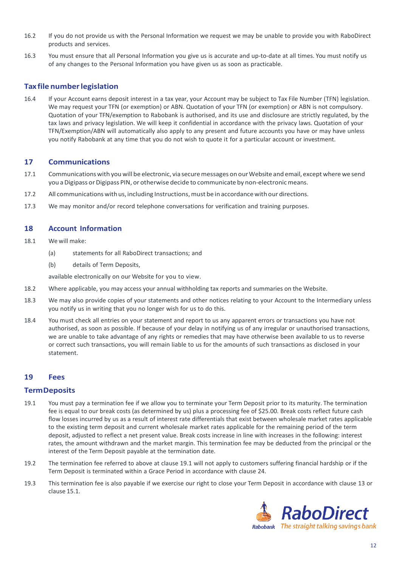- 16.2 If you do not provide us with the Personal Information we request we may be unable to provide you with RaboDirect products and services.
- 16.3 You must ensure that all Personal Information you give us is accurate and up-to-date at all times. You must notify us of any changes to the Personal Information you have given us as soon as practicable.

## **Tax file numberlegislation**

16.4 If your Account earns deposit interest in a tax year, your Account may be subject to Tax File Number (TFN) legislation. We may request your TFN (or exemption) or ABN. Quotation of your TFN (or exemption) or ABN is not compulsory. Quotation of your TFN/exemption to Rabobank is authorised, and its use and disclosure are strictly regulated, by the tax laws and privacy legislation. We will keep it confidential in accordance with the privacy laws. Quotation of your TFN/Exemption/ABN will automatically also apply to any present and future accounts you have or may have unless you notify Rabobank at any time that you do not wish to quote it for a particular account or investment.

## **17 Communications**

- 17.1 Communications with you will be electronic, via secure messages on our Website and email, except where we send you a Digipass or Digipass PIN, or otherwise decide to communicate by non-electronic means.
- 17.2 All communications with us, including Instructions, must be in accordance with our directions.
- 17.3 We may monitor and/or record telephone conversations for verification and training purposes.

## **18 Account Information**

- 18.1 We will make:
	- (a) statements for all RaboDirect transactions; and
	- (b) details of Term Deposits,

available electronically on our Website for you to view.

- 18.2 Where applicable, you may access your annual withholding tax reports and summaries on the Website.
- 18.3 We may also provide copies of your statements and other notices relating to your Account to the Intermediary unless you notify us in writing that you no longer wish for us to do this.
- 18.4 You must check all entries on your statement and report to us any apparent errors or transactions you have not authorised, as soon as possible. If because of your delay in notifying us of any irregular or unauthorised transactions, we are unable to take advantage of any rights or remedies that may have otherwise been available to us to reverse or correct such transactions, you will remain liable to us for the amounts of such transactions as disclosed in your statement.

## <span id="page-11-0"></span>**19 Fees**

#### **TermDeposits**

- 19.1 You must pay a termination fee if we allow you to terminate your Term Deposit prior to its maturity. The termination fee is equal to our break costs (as determined by us) plus a processing fee of \$25.00. Break costs reflect future cash flow losses incurred by us as a result of interest rate differentials that exist between wholesale market rates applicable to the existing term deposit and current wholesale market rates applicable for the remaining period of the term deposit, adjusted to reflect a net present value. Break costs increase in line with increases in the following: interest rates, the amount withdrawn and the market margin. This termination fee may be deducted from the principal or the interest of the Term Deposit payable at the termination date.
- 19.2 The termination fee referred to above at clause 19.1 will not apply to customers suffering financial hardship or if the Term Deposit is terminated within a Grace Period in accordance with clause 24.
- 19.3 This termination fee is also payable if we exercise our right to close your Term Deposit in accordance with clause 13 or clause 15.1.

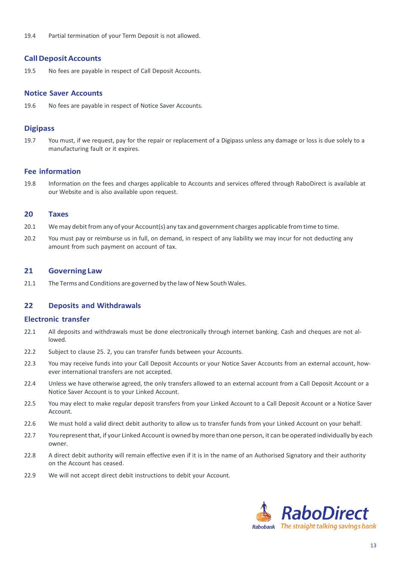19.4 Partial termination of your Term Deposit is not allowed.

#### **CallDepositAccounts**

19.5 No fees are payable in respect of Call Deposit Accounts.

#### **Notice Saver Accounts**

19.6 No fees are payable in respect of Notice Saver Accounts.

#### **Digipass**

19.7 You must, if we request, pay for the repair or replacement of a Digipass unless any damage or loss is due solely to a manufacturing fault or it expires.

#### **Fee information**

19.8 Information on the fees and charges applicable to Accounts and services offered through RaboDirect is available at our Website and is also available upon request.

#### **20 Taxes**

- 20.1 We may debit from any of your Account(s) any tax and government charges applicable from time to time.
- 20.2 You must pay or reimburse us in full, on demand, in respect of any liability we may incur for not deducting any amount from such payment on account of tax.

#### <span id="page-12-0"></span>**21 Governing Law**

21.1 The Terms and Conditions are governed by the law of New South Wales.

#### **22 Deposits and Withdrawals**

#### **Electronic transfer**

- 22.1 All deposits and withdrawals must be done electronically through internet banking. Cash and cheques are not allowed.
- 22.2 Subject to clause 25. 2, you can transfer funds between your Accounts.
- 22.3 You may receive funds into your Call Deposit Accounts or your Notice Saver Accounts from an external account, however international transfers are not accepted.
- 22.4 Unless we have otherwise agreed, the only transfers allowed to an external account from a Call Deposit Account or a Notice Saver Account is to your Linked Account.
- 22.5 You may elect to make regular deposit transfers from your Linked Account to a Call Deposit Account or a Notice Saver Account.
- 22.6 We must hold a valid direct debit authority to allow us to transfer funds from your Linked Account on your behalf.
- 22.7 You represent that, if your Linked Account is owned by more than one person, it can be operated individually by each owner.
- 22.8 A direct debit authority will remain effective even if it is in the name of an Authorised Signatory and their authority on the Account has ceased.
- 22.9 We will not accept direct debit instructions to debit your Account.

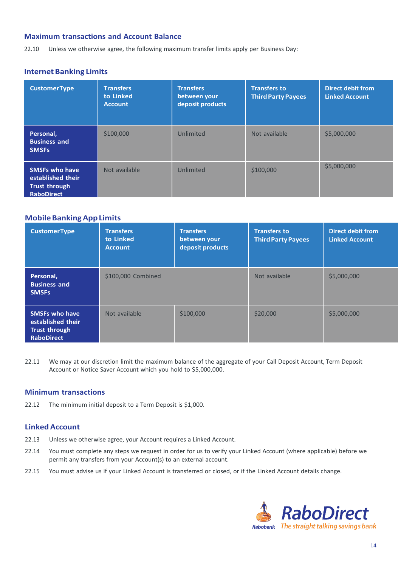## **Maximum transactions and Account Balance**

22.10 Unless we otherwise agree, the following maximum transfer limits apply per Business Day:

## **Internet Banking Limits**

| <b>CustomerType</b>                                                                     | <b>Transfers</b><br>to Linked<br><b>Account</b> | <b>Transfers</b><br>between your<br>deposit products | <b>Transfers to</b><br><b>Third Party Payees</b> | <b>Direct debit from</b><br><b>Linked Account</b> |
|-----------------------------------------------------------------------------------------|-------------------------------------------------|------------------------------------------------------|--------------------------------------------------|---------------------------------------------------|
| Personal,<br><b>Business and</b><br><b>SMSFs</b>                                        | \$100,000                                       | Unlimited                                            | Not available                                    | \$5,000,000                                       |
| <b>SMSFs who have</b><br>established their<br><b>Trust through</b><br><b>RaboDirect</b> | Not available                                   | Unlimited                                            | \$100,000                                        | \$5,000,000                                       |

## <span id="page-13-0"></span>**MobileBankingAppLimits**

| <b>CustomerType</b>                                                                     | <b>Transfers</b><br>to Linked<br><b>Account</b> | <b>Transfers</b><br>between your<br>deposit products | <b>Transfers to</b><br><b>Third Party Payees</b> | <b>Direct debit from</b><br><b>Linked Account</b> |
|-----------------------------------------------------------------------------------------|-------------------------------------------------|------------------------------------------------------|--------------------------------------------------|---------------------------------------------------|
| Personal,<br><b>Business and</b><br><b>SMSFs</b>                                        | \$100,000 Combined                              |                                                      | Not available                                    | \$5,000,000                                       |
| <b>SMSFs who have</b><br>established their<br><b>Trust through</b><br><b>RaboDirect</b> | Not available                                   | \$100,000                                            | \$20,000                                         | \$5,000,000                                       |

22.11 We may at our discretion limit the maximum balance of the aggregate of your Call Deposit Account, Term Deposit Account or Notice Saver Account which you hold to \$5,000,000.

#### **Minimum transactions**

22.12 The minimum initial deposit to a Term Deposit is \$1,000.

## **LinkedAccount**

- 22.13 Unless we otherwise agree, your Account requires a Linked Account.
- 22.14 You must complete any steps we request in order for us to verify your Linked Account (where applicable) before we permit any transfers from your Account(s) to an external account.
- 22.15 You must advise us if your Linked Account is transferred or closed, or if the Linked Account details change.

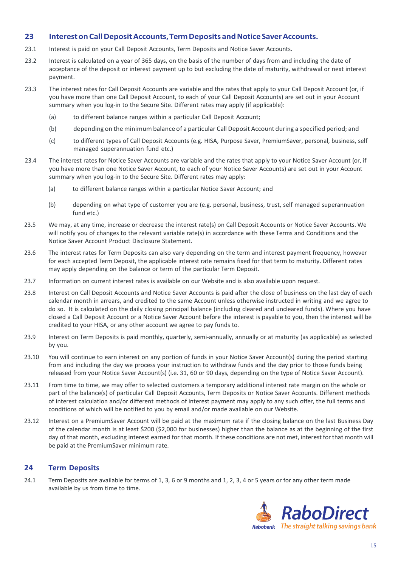## **23 InterestonCallDepositAccounts,TermDeposits andNoticeSaverAccounts.**

- 23.1 Interest is paid on your Call Deposit Accounts, Term Deposits and Notice Saver Accounts.
- 23.2 Interest is calculated on a year of 365 days, on the basis of the number of days from and including the date of acceptance of the deposit or interest payment up to but excluding the date of maturity, withdrawal or next interest payment.
- 23.3 The interest rates for Call Deposit Accounts are variable and the rates that apply to your Call Deposit Account (or, if you have more than one Call Deposit Account, to each of your Call Deposit Accounts) are set out in your Account summary when you log-in to the Secure Site. Different rates may apply (if applicable):
	- (a) to different balance ranges within a particular Call Deposit Account;
	- (b) depending on the minimum balance of a particular Call Deposit Account during a specified period; and
	- (c) to different types of Call Deposit Accounts (e.g. HISA, Purpose Saver, PremiumSaver, personal, business, self managed superannuation fund etc.)
- <span id="page-14-0"></span>23.4 The interest rates for Notice Saver Accounts are variable and the rates that apply to your Notice Saver Account (or, if you have more than one Notice Saver Account, to each of your Notice Saver Accounts) are set out in your Account summary when you log-in to the Secure Site. Different rates may apply:
	- (a) to different balance ranges within a particular Notice Saver Account; and
	- (b) depending on what type of customer you are (e.g. personal, business, trust, self managed superannuation fund etc.)
- 23.5 We may, at any time, increase or decrease the interest rate(s) on Call Deposit Accounts or Notice Saver Accounts. We will notify you of changes to the relevant variable rate(s) in accordance with these Terms and Conditions and the Notice Saver Account Product Disclosure Statement.
- 23.6 The interest rates for Term Deposits can also vary depending on the term and interest payment frequency, however for each accepted Term Deposit, the applicable interest rate remains fixed for that term to maturity. Different rates may apply depending on the balance or term of the particular Term Deposit.
- 23.7 Information on current interest rates is available on our Website and is also available upon request.
- 23.8 Interest on Call Deposit Accounts and Notice Saver Accounts is paid after the close of business on the last day of each calendar month in arrears, and credited to the same Account unless otherwise instructed in writing and we agree to do so. It is calculated on the daily closing principal balance (including cleared and uncleared funds). Where you have closed a Call Deposit Account or a Notice Saver Account before the interest is payable to you, then the interest will be credited to your HISA, or any other account we agree to pay funds to.
- 23.9 Interest on Term Deposits is paid monthly, quarterly, semi-annually, annually or at maturity (as applicable) as selected by you.
- 23.10 You will continue to earn interest on any portion of funds in your Notice Saver Account(s) during the period starting from and including the day we process your instruction to withdraw funds and the day prior to those funds being released from your Notice Saver Account(s) (i.e. 31, 60 or 90 days, depending on the type of Notice Saver Account).
- 23.11 From time to time, we may offer to selected customers a temporary additional interest rate margin on the whole or part of the balance(s) of particular Call Deposit Accounts, Term Deposits or Notice Saver Accounts. Different methods of interest calculation and/or different methods of interest payment may apply to any such offer, the full terms and conditions of which will be notified to you by email and/or made available on our Website.
- 23.12 Interest on a PremiumSaver Account will be paid at the maximum rate if the closing balance on the last Business Day of the calendar month is at least \$200 (\$2,000 for businesses) higher than the balance as at the beginning of the first day of that month, excluding interest earned for that month. If these conditions are not met, interest for that month will be paid at the PremiumSaver minimum rate.

## **24 Term Deposits**

24.1 Term Deposits are available for terms of 1, 3, 6 or 9 months and 1, 2, 3, 4 or 5 years or for any other term made available by us from time to time.

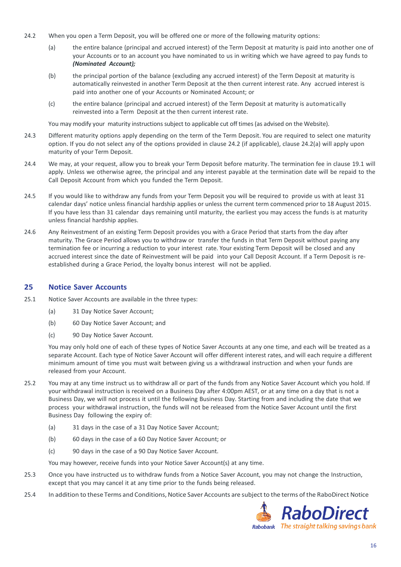- 24.2 When you open a Term Deposit, you will be offered one or more of the following maturity options:
	- (a) the entire balance (principal and accrued interest) of the Term Deposit at maturity is paid into another one of your Accounts or to an account you have nominated to us in writing which we have agreed to pay funds to *(Nominated Account);*
	- (b) the principal portion of the balance (excluding any accrued interest) of the Term Deposit at maturity is automatically reinvested in another Term Deposit at the then current interest rate. Any accrued interest is paid into another one of your Accounts or Nominated Account; or
	- (c) the entire balance (principal and accrued interest) of the Term Deposit at maturity is automatically reinvested into a Term Deposit at the then current interest rate.

You may modify your maturity instructions subject to applicable cut off times (as advised on the Website).

- 24.3 Different maturity options apply depending on the term of the Term Deposit. You are required to select one maturity option. If you do not select any of the options provided in clause 24.2 (if applicable), clause 24.2(a) will apply upon maturity of your Term Deposit.
- <span id="page-15-0"></span>24.4 We may, at your request, allow you to break your Term Deposit before maturity. The termination fee in clause 19.1 will apply. Unless we otherwise agree, the principal and any interest payable at the termination date will be repaid to the Call Deposit Account from which you funded the Term Deposit.
- 24.5 If you would like to withdraw any funds from your Term Deposit you will be required to provide us with at least 31 calendar days' notice unless financial hardship applies or unless the current term commenced prior to 18 August 2015. If you have less than 31 calendar days remaining until maturity, the earliest you may access the funds is at maturity unless financial hardship applies.
- 24.6 Any Reinvestment of an existing Term Deposit provides you with a Grace Period that starts from the day after maturity. The Grace Period allows you to withdraw or transfer the funds in that Term Deposit without paying any termination fee or incurring a reduction to your interest rate. Your existing Term Deposit will be closed and any accrued interest since the date of Reinvestment will be paid into your Call Deposit Account. If a Term Deposit is reestablished during a Grace Period, the loyalty bonus interest will not be applied.

### **25 Notice Saver Accounts**

- 25.1 Notice Saver Accounts are available in the three types:
	- (a) 31 Day Notice Saver Account;
	- (b) 60 Day Notice Saver Account; and
	- (c) 90 Day Notice Saver Account.

You may only hold one of each of these types of Notice Saver Accounts at any one time, and each will be treated as a separate Account. Each type of Notice Saver Account will offer different interest rates, and will each require a different minimum amount of time you must wait between giving us a withdrawal instruction and when your funds are released from your Account.

- 25.2 You may at any time instruct us to withdraw all or part of the funds from any Notice Saver Account which you hold. If your withdrawal instruction is received on a Business Day after 4:00pm AEST, or at any time on a day that is not a Business Day, we will not process it until the following Business Day. Starting from and including the date that we process your withdrawal instruction, the funds will not be released from the Notice Saver Account until the first Business Day following the expiry of:
	- (a) 31 days in the case of a 31 Day Notice Saver Account;
	- (b) 60 days in the case of a 60 Day Notice Saver Account; or
	- (c) 90 days in the case of a 90 Day Notice Saver Account.

You may however, receive funds into your Notice Saver Account(s) at any time.

- 25.3 Once you have instructed us to withdraw funds from a Notice Saver Account, you may not change the Instruction, except that you may cancel it at any time prior to the funds being released.
- 25.4 In addition to these Terms and Conditions, Notice Saver Accounts are subject to the terms ofthe RaboDirect Notice

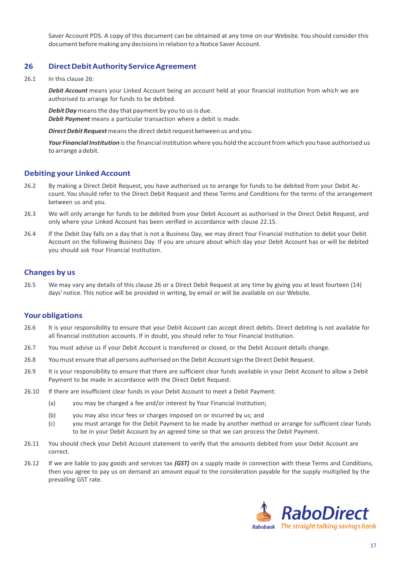Saver Account PDS. A copy of this document can be obtained at any time on our Website. You should consider this document before making any decisions in relation to a Notice Saver Account.

### **26 DirectDebitAuthorityServiceAgreement**

26.1 In this clause 26:

*Debit Account* means your Linked Account being an account held at your financial institution from which we are authorised to arrange for funds to be debited.

**Debit Day** means the day that payment by you to us is due. *Debit Payment* means a particular transaction where a debit is made.

**Direct Debit Request** means the direct debit request between us and you.

Your Financial Institution is the financial institution where you hold the account from which you have authorised us to arrange adebit.

## **Debiting your Linked Account**

- 26.2 By making a Direct Debit Request, you have authorised us to arrange for funds to be debited from your Debit Account. You should refer to the Direct Debit Request and these Terms and Conditions for the terms of the arrangement between us and you.
- 26.3 We will only arrange for funds to be debited from your Debit Account as authorised in the Direct Debit Request, and only where your Linked Account has been verified in accordance with clause 22.15.
- 26.4 If the Debit Day falls on a day that is not a Business Day, we may direct Your Financial Institution to debit your Debit Account on the following Business Day. If you are unsure about which day your Debit Account has or will be debited you should ask Your Financial Institution.

#### **Changes by us**

26.5 We may vary any details of this clause 26 or a Direct Debit Request at any time by giving you at least fourteen (14) days' notice. This notice will be provided in writing, by email or will be available on our Website.

#### **Your obligations**

- 26.6 It is your responsibility to ensure that your Debit Account can accept direct debits. Direct debiting is not available for all financial institution accounts. If in doubt, you should refer to Your Financial Institution.
- 26.7 You must advise us if your Debit Account is transferred or closed, or the Debit Account details change.
- 26.8 Youmust ensure that all persons authorised on the Debit Accountsign the Direct Debit Request.
- 26.9 It is your responsibility to ensure that there are sufficient clear funds available in your Debit Account to allow a Debit Payment to be made in accordance with the Direct Debit Request.
- 26.10 If there are insufficient clear funds in your Debit Account to meet a Debit Payment:
	- (a) you may be charged a fee and/or interest by Your Financial Institution;
	- (b) you may also incur fees or charges imposed on or incurred by us; and
	- (c) you must arrange for the Debit Payment to be made by another method or arrange for sufficient clear funds to be in your Debit Account by an agreed time so that we can process the Debit Payment.
- 26.11 You should check your Debit Account statement to verify that the amounts debited from your Debit Account are correct.
- 26.12 If we are liable to pay goods and services tax *(GST)* on a supply made in connection with these Terms and Conditions, then you agree to pay us on demand an amount equal to the consideration payable for the supply multiplied by the prevailing GST rate.

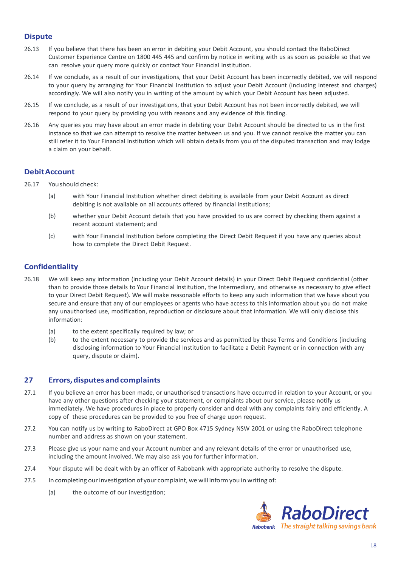## **Dispute**

- 26.13 If you believe that there has been an error in debiting your Debit Account, you should contact the RaboDirect Customer Experience Centre on 1800 445 445 and confirm by notice in writing with us as soon as possible so that we can resolve your query more quickly or contact Your Financial Institution.
- 26.14 If we conclude, as a result of our investigations, that your Debit Account has been incorrectly debited, we will respond to your query by arranging for Your Financial Institution to adjust your Debit Account (including interest and charges) accordingly. We will also notify you in writing of the amount by which your Debit Account has been adjusted.
- 26.15 If we conclude, as a result of our investigations, that your Debit Account has not been incorrectly debited, we will respond to your query by providing you with reasons and any evidence of this finding.
- 26.16 Any queries you may have about an error made in debiting your Debit Account should be directed to us in the first instance so that we can attempt to resolve the matter between us and you. If we cannot resolve the matter you can still refer it to Your Financial Institution which will obtain details from you of the disputed transaction and may lodge a claim on your behalf.

## **DebitAccount**

- 26.17 Youshould check:
	- (a) with Your Financial Institution whether direct debiting is available from your Debit Account as direct debiting is not available on all accounts offered by financial institutions;
	- (b) whether your Debit Account details that you have provided to us are correct by checking them against a recent account statement; and
	- (c) with Your Financial Institution before completing the Direct Debit Request if you have any queries about how to complete the Direct Debit Request.

## **Confidentiality**

- 26.18 We will keep any information (including your Debit Account details) in your Direct Debit Request confidential (other than to provide those details to Your Financial Institution, the Intermediary, and otherwise as necessary to give effect to your Direct Debit Request). We will make reasonable efforts to keep any such information that we have about you secure and ensure that any of our employees or agents who have access to this information about you do not make any unauthorised use, modification, reproduction or disclosure about that information. We will only disclose this information:
	- (a) to the extent specifically required by law; or
	- (b) to the extent necessary to provide the services and as permitted by these Terms and Conditions (including disclosing information to Your Financial Institution to facilitate a Debit Payment or in connection with any query, dispute or claim).

## <span id="page-17-0"></span>**27 Errors,disputesandcomplaints**

- 27.1 If you believe an error has been made, or unauthorised transactions have occurred in relation to your Account, or you have any other questions after checking your statement, or complaints about our service, please notify us immediately. We have procedures in place to properly consider and deal with any complaints fairly and efficiently. A copy of these procedures can be provided to you free of charge upon request.
- 27.2 You can notify us by writing to RaboDirect at GPO Box 4715 Sydney NSW 2001 or using the RaboDirect telephone number and address as shown on your statement.
- 27.3 Please give us your name and your Account number and any relevant details of the error or unauthorised use, including the amount involved. We may also ask you for further information.
- 27.4 Your dispute will be dealt with by an officer of Rabobank with appropriate authority to resolve the dispute.
- 27.5 In completing our investigation of your complaint, we will inform you in writing of:
	- (a) the outcome of our investigation;

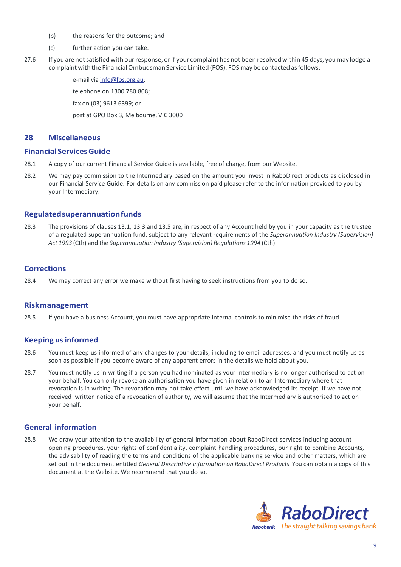- (b) the reasons for the outcome; and
- (c) further action you can take.
- 27.6 If you are not satisfied with our response, or if your complaint has not been resolved within 45 days, you may lodge a complaint with the Financial Ombudsman Service Limited (FOS). FOS may be contacted as follows:

e-mail via [info@fos.org.au;](mailto:info@fos.org.au) telephone on 1300 780 808; fax on (03) 9613 6399; or

post at GPO Box 3, Melbourne, VIC 3000

## **28 Miscellaneous**

#### **FinancialServicesGuide**

- 28.1 A copy of our current Financial Service Guide is available, free of charge, from our Website.
- 28.2 We may pay commission to the Intermediary based on the amount you invest in RaboDirect products as disclosed in our Financial Service Guide. For details on any commission paid please refer to the information provided to you by your Intermediary.

## **Regulatedsuperannuationfunds**

28.3 The provisions of clauses 13.1, 13.3 and 13.5 are, in respect of any Account held by you in your capacity as the trustee of a regulated superannuation fund, subject to any relevant requirements of the *Superannuation Industry (Supervision) Act 1993* (Cth) and the *Superannuation Industry (Supervision) Regulations 1994* (Cth).

## **Corrections**

28.4 We may correct any error we make without first having to seek instructions from you to do so.

#### **Riskmanagement**

28.5 If you have a business Account, you must have appropriate internal controls to minimise the risks of fraud.

## **Keeping usinformed**

- 28.6 You must keep us informed of any changes to your details, including to email addresses, and you must notify us as soon as possible if you become aware of any apparent errors in the details we hold about you.
- 28.7 You must notify us in writing if a person you had nominated as your Intermediary is no longer authorised to act on your behalf. You can only revoke an authorisation you have given in relation to an Intermediary where that revocation is in writing. The revocation may not take effect until we have acknowledged its receipt. If we have not received written notice of a revocation of authority, we will assume that the Intermediary is authorised to act on your behalf.

## **General information**

28.8 We draw your attention to the availability of general information about RaboDirect services including account opening procedures, your rights of confidentiality, complaint handling procedures, our right to combine Accounts, the advisability of reading the terms and conditions of the applicable banking service and other matters, which are set out in the document entitled *General Descriptive Information on RaboDirect Products.* You can obtain a copy of this document at the Website. We recommend that you do so.

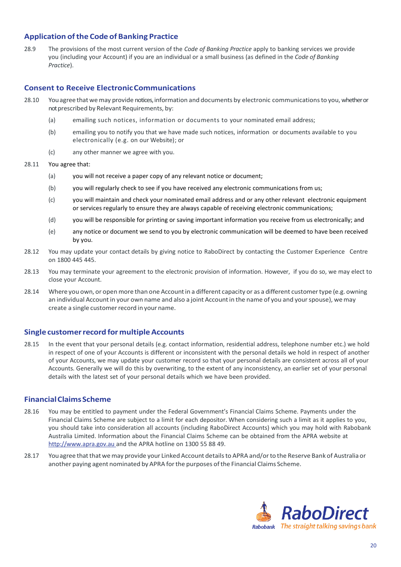## **Application ofthe Code of Banking Practice**

28.9 The provisions of the most current version of the *Code of Banking Practice* apply to banking services we provide you (including your Account) if you are an individual or a small business (as defined in the *Code of Banking Practice*).

## **Consent to Receive ElectronicCommunications**

- 28.10 You agree that we may provide notices, information and documents by electronic communications to you, whether or not prescribed by Relevant Requirements, by:
	- (a) emailing such notices, information or documents to your nominated email address;
	- (b) emailing you to notify you that we have made such notices, information or documents available to you electronically (e.g. on our Website); or
	- (c) any other manner we agree with you.
- 28.11 You agree that:
	- (a) you will not receive a paper copy of any relevant notice or document;
	- (b) you will regularly check to see if you have received any electronic communications from us;
	- (c) you will maintain and check your nominated email address and or any other relevant electronic equipment or services regularly to ensure they are always capable of receiving electronic communications;
	- (d) you will be responsible for printing or saving important information you receive from us electronically; and
	- (e) any notice or document we send to you by electronic communication will be deemed to have been received by you.
- 28.12 You may update your contact details by giving notice to RaboDirect by contacting the Customer Experience Centre on 1800 445 445.
- 28.13 You may terminate your agreement to the electronic provision of information. However, if you do so, we may elect to close your Account.
- 28.14 Where you own, or open more than one Account in a different capacity or as a different customer type (e.g. owning an individual Account in your own name and also a joint Account in the name of you and your spouse), we may create a single customer record in your name.

#### <span id="page-19-0"></span>**Single customerrecord formultipleAccounts**

28.15 In the event that your personal details (e.g. contact information, residential address, telephone number etc.) we hold in respect of one of your Accounts is different or inconsistent with the personal details we hold in respect of another of your Accounts, we may update your customer record so that your personal details are consistent across all of your Accounts. Generally we will do this by overwriting, to the extent of any inconsistency, an earlier set of your personal details with the latest set of your personal details which we have been provided.

#### **FinancialClaimsScheme**

- 28.16 You may be entitled to payment under the Federal Government's Financial Claims Scheme. Payments under the Financial Claims Scheme are subject to a limit for each depositor. When considering such a limit as it applies to you, you should take into consideration all accounts (including RaboDirect Accounts) which you may hold with Rabobank Australia Limited. Information about the Financial Claims Scheme can be obtained from the APRA website at [http://www.apra.gov.au](http://www.apra.gov.au/) and the APRA hotline on 1300 55 88 49.
- 28.17 You agree that that we may provide your Linked Account details to APRA and/or to the Reserve Bank of Australia or another paying agent nominated by APRA forthe purposes ofthe Financial Claims Scheme.